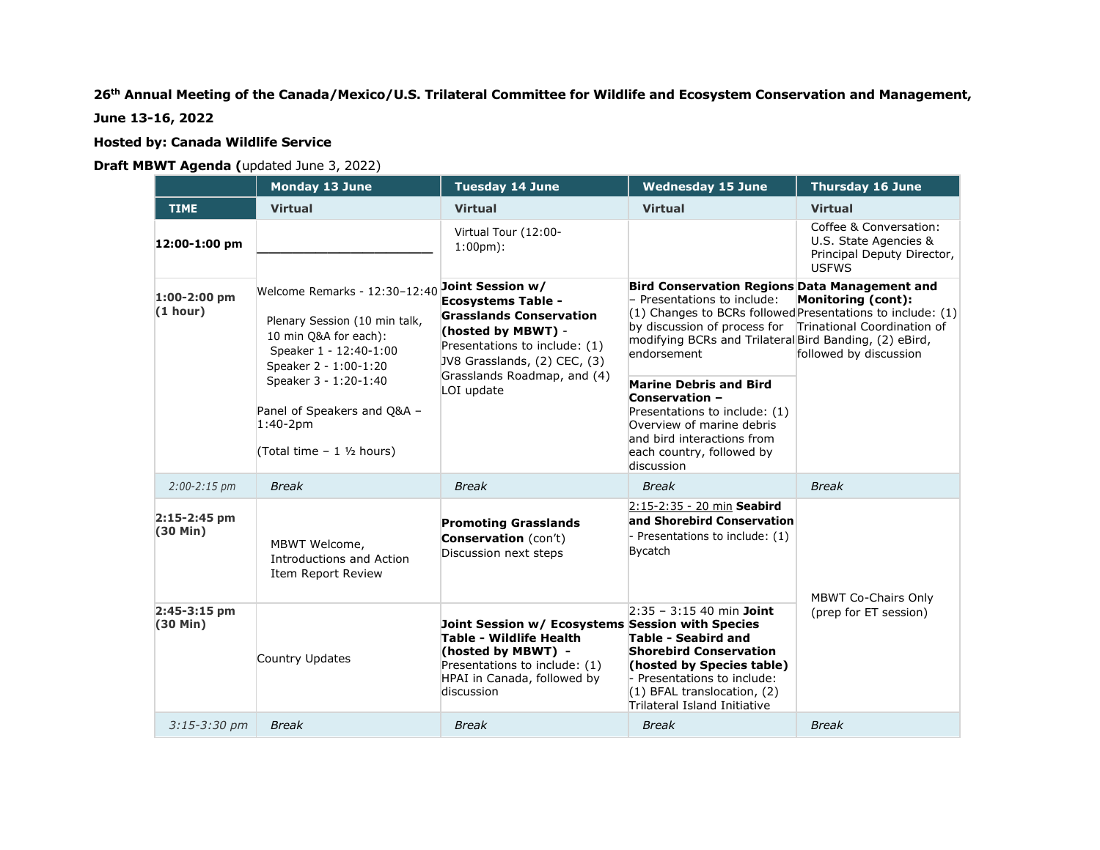## **26th Annual Meeting of the Canada/Mexico/U.S. Trilateral Committee for Wildlife and Ecosystem Conservation and Management,**

**June 13-16, 2022**

## **Hosted by: Canada Wildlife Service**

## **Draft MBWT Agenda (**updated June 3, 2022)

|                               | Monday 13 June                                                                                                                             | <b>Tuesday 14 June</b>                                                                                                                                                                                              | <b>Wednesday 15 June</b>                                                                                                                                                                                                                                                            | <b>Thursday 16 June</b>                                                                       |
|-------------------------------|--------------------------------------------------------------------------------------------------------------------------------------------|---------------------------------------------------------------------------------------------------------------------------------------------------------------------------------------------------------------------|-------------------------------------------------------------------------------------------------------------------------------------------------------------------------------------------------------------------------------------------------------------------------------------|-----------------------------------------------------------------------------------------------|
| <b>TIME</b>                   | <b>Virtual</b>                                                                                                                             | <b>Virtual</b>                                                                                                                                                                                                      | <b>Virtual</b>                                                                                                                                                                                                                                                                      | <b>Virtual</b>                                                                                |
| 12:00-1:00 pm                 |                                                                                                                                            | Virtual Tour (12:00-<br>$1:00 \text{pm}$ :                                                                                                                                                                          |                                                                                                                                                                                                                                                                                     | Coffee & Conversation:<br>U.S. State Agencies &<br>Principal Deputy Director,<br><b>USFWS</b> |
| $1:00-2:00$ pm<br>(1 hour)    | Welcome Remarks - 12:30-12:40<br>Plenary Session (10 min talk,<br>10 min Q&A for each):<br>Speaker 1 - 12:40-1:00<br>Speaker 2 - 1:00-1:20 | Joint Session w/<br><b>Ecosystems Table -</b><br><b>Grasslands Conservation</b><br>(hosted by MBWT) -<br>Presentations to include: (1)<br>JV8 Grasslands, (2) CEC, (3)<br>Grasslands Roadmap, and (4)<br>LOI update | Bird Conservation Regions Data Management and<br>- Presentations to include:<br>$(1)$ Changes to BCRs followed Presentations to include: $(1)$<br>by discussion of process for Trinational Coordination of<br>modifying BCRs and Trilateral Bird Banding, (2) eBird,<br>endorsement | <b>Monitoring (cont):</b><br>followed by discussion                                           |
|                               | Speaker 3 - 1:20-1:40<br>Panel of Speakers and Q&A -<br>$1:40-2pm$<br>(Total time $-1$ $1/2$ hours)                                        |                                                                                                                                                                                                                     | <b>Marine Debris and Bird</b><br>Conservation -<br>Presentations to include: (1)<br>Overview of marine debris<br>and bird interactions from<br>each country, followed by<br>discussion                                                                                              |                                                                                               |
| $2:00 - 2:15$ pm              | <b>Break</b>                                                                                                                               | <b>Break</b>                                                                                                                                                                                                        | <b>Break</b>                                                                                                                                                                                                                                                                        | <b>Break</b>                                                                                  |
| $2:15-2:45$ pm<br>(30 Min)    | MBWT Welcome,<br>Introductions and Action<br>Item Report Review                                                                            | <b>Promoting Grasslands</b><br>Conservation (con't)<br>Discussion next steps                                                                                                                                        | 2:15-2:35 - 20 min Seabird<br>and Shorebird Conservation<br>Presentations to include: (1)<br><b>Bycatch</b>                                                                                                                                                                         | <b>MBWT Co-Chairs Only</b><br>(prep for ET session)                                           |
| 2:45-3:15 pm<br>$(30$ Min $)$ | Country Updates                                                                                                                            | Joint Session w/ Ecosystems Session with Species<br>Table - Wildlife Health<br>(hosted by MBWT) -<br>Presentations to include: (1)<br>HPAI in Canada, followed by<br>discussion                                     | $2:35 - 3:15$ 40 min Joint<br><b>Table - Seabird and</b><br><b>Shorebird Conservation</b><br>(hosted by Species table)<br>- Presentations to include:<br>$(1)$ BFAL translocation, $(2)$<br>Trilateral Island Initiative                                                            |                                                                                               |
| $3:15 - 3:30$ pm              | <b>Break</b>                                                                                                                               | <b>Break</b>                                                                                                                                                                                                        | <b>Break</b>                                                                                                                                                                                                                                                                        | <b>Break</b>                                                                                  |